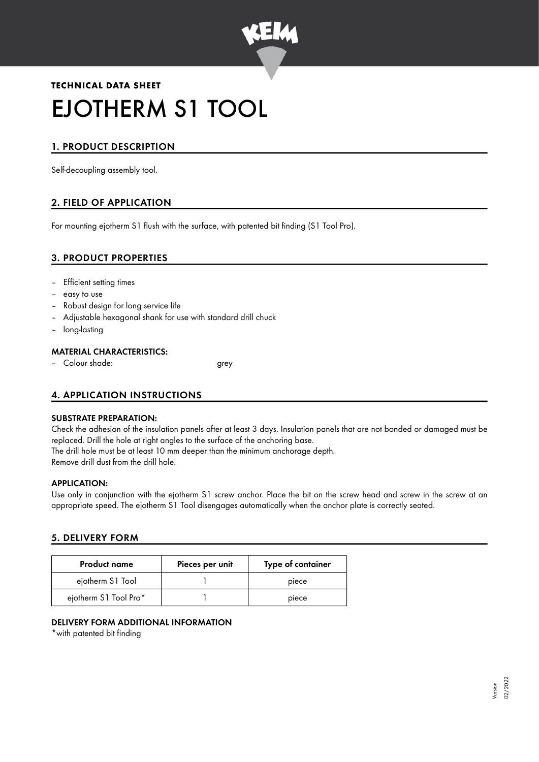

# **TECHNICAL DATA SHEET** EJOTHERM S1 TOOL

# 1. PRODUCT DESCRIPTION

Self-decoupling assembly tool.

# 2. FIELD OF APPLICATION

For mounting ejotherm S1 flush with the surface, with patented bit finding (S1 Tool Pro).

## 3. PRODUCT PROPERTIES

- Efficient setting times
- easy to use
- Robust design for long service life
- Adjustable hexagonal shank for use with standard drill chuck
- long-lasting

#### MATERIAL CHARACTERISTICS:

– Colour shade: grey

## 4. APPLICATION INSTRUCTIONS

#### SUBSTRATE PREPARATION:

Check the adhesion of the insulation panels after at least 3 days. Insulation panels that are not bonded or damaged must be replaced. Drill the hole at right angles to the surface of the anchoring base. The drill hole must be at least 10 mm deeper than the minimum anchorage depth.

Remove drill dust from the drill hole.

#### APPLICATION:

Use only in conjunction with the ejotherm S1 screw anchor. Place the bit on the screw head and screw in the screw at an appropriate speed. The ejotherm S1 Tool disengages automatically when the anchor plate is correctly seated.

#### 5. DELIVERY FORM

| <b>Product name</b>   | Pieces per unit | Type of container |
|-----------------------|-----------------|-------------------|
| ejotherm S1 Tool      |                 | piece             |
| ejotherm S1 Tool Pro* |                 | piece             |

#### DELIVERY FORM ADDITIONAL INFORMATION

\*with patented bit finding